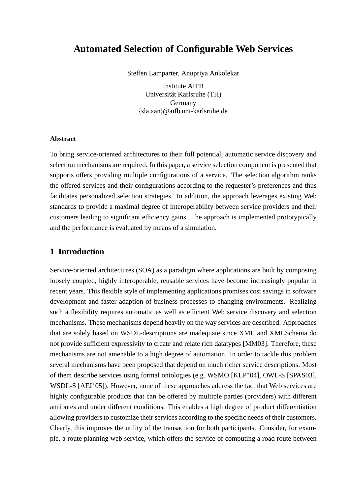# **Automated Selection of Configurable Web Services**

Steffen Lamparter, Anupriya Ankolekar

Institute AIFB Universität Karlsruhe (TH) Germany {sla,aan}@aifb.uni-karlsruhe.de

### **Abstract**

To bring service-oriented architectures to their full potential, automatic service discovery and selection mechanisms are required. In this paper, a service selection component is presented that supports offers providing multiple configurations of a service. The selection algorithm ranks the offered services and their configurations according to the requester's preferences and thus facilitates personalized selection strategies. In addition, the approach leverages existing Web standards to provide a maximal degree of interoperability between service providers and their customers leading to significant efficiency gains. The approach is implemented prototypically and the performance is evaluated by means of a simulation.

### **1 Introduction**

Service-oriented architectures (SOA) as a paradigm where applications are built by composing loosely coupled, highly interoperable, reusable services have become increasingly popular in recent years. This flexible style of implementing applications promises cost savings in software development and faster adaption of business processes to changing environments. Realizing such a flexibility requires automatic as well as efficient Web service discovery and selection mechanisms. These mechanisms depend heavily on the way services are described. Approaches that are solely based on WSDL-descriptions are inadequate since XML and XMLSchema do not provide sufficient expressivity to create and relate rich datatypes [MM03]. Therefore, these mechanisms are not amenable to a high degree of automation. In order to tackle this problem several mechanisms have been proposed that depend on much richer service descriptions. Most of them describe services using formal ontologies (e.g. WSMO [KLP<sup>+</sup>04], OWL-S [SPAS03], WSDL-S [AFJ<sup>+</sup>05]). However, none of these approaches address the fact that Web services are highly configurable products that can be offered by multiple parties (providers) with different attributes and under different conditions. This enables a high degree of product differentiation allowing providers to customize their services according to the specific needs of their customers. Clearly, this improves the utility of the transaction for both participants. Consider, for example, a route planning web service, which offers the service of computing a road route between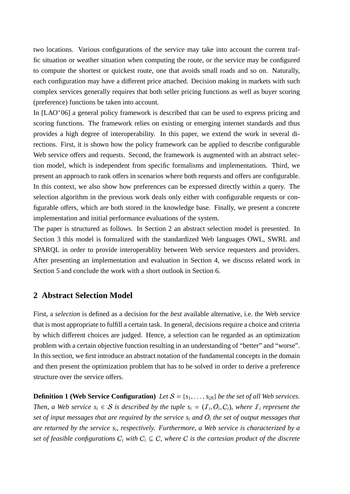two locations. Various configurations of the service may take into account the current traffic situation or weather situation when computing the route, or the service may be configured to compute the shortest or quickest route, one that avoids small roads and so on. Naturally, each configuration may have a different price attached. Decision making in markets with such complex services generally requires that both seller pricing functions as well as buyer scoring (preference) functions be taken into account.

In [LAO<sup>+</sup>06] a general policy framework is described that can be used to express pricing and scoring functions. The framework relies on existing or emerging internet standards and thus provides a high degree of interoperability. In this paper, we extend the work in several directions. First, it is shown how the policy framework can be applied to describe configurable Web service offers and requests. Second, the framework is augmented with an abstract selection model, which is independent from specific formalisms and implementations. Third, we present an approach to rank offers in scenarios where both requests and offers are configurable. In this context, we also show how preferences can be expressed directly within a query. The selection algorithm in the previous work deals only either with configurable requests or configurable offers, which are both stored in the knowledge base. Finally, we present a concrete implementation and initial performance evaluations of the system.

The paper is structured as follows. In Section 2 an abstract selection model is presented. In Section 3 this model is formalized with the standardized Web languages OWL, SWRL and SPARQL in order to provide interoperablity between Web service requesters and providers. After presenting an implementation and evaluation in Section 4, we discuss related work in Section 5 and conclude the work with a short outlook in Section 6.

# **2 Abstract Selection Model**

First, a *selection* is defined as a decision for the *best* available alternative, i.e. the Web service that is most appropriate to fulfill a certain task. In general, decisions require a choice and criteria by which different choices are judged. Hence, a selection can be regarded as an optimization problem with a certain objective function resulting in an understanding of "better" and "worse". In this section, we first introduce an abstract notation of the fundamental concepts in the domain and then present the optimization problem that has to be solved in order to derive a preference structure over the service offers.

**Definition 1 (Web Service Configuration)** *Let*  $S = \{s_1, \ldots, s_{|S|}\}$  *be the set of all Web services. Then, a Web service*  $s_i \in S$  *is described by the tuple*  $s_i = (I_i, O_i, C_i)$ *, where*  $I_i$  *represent the set of input messages that are required by the service si and* O*<sup>i</sup> the set of output messages that are returned by the service si, respectively. Furthermore, a Web service is characterized by a set of feasible configurations*  $C_i$  *with*  $C_i \subseteq C$ *, where* C *is the cartesian product of the discrete*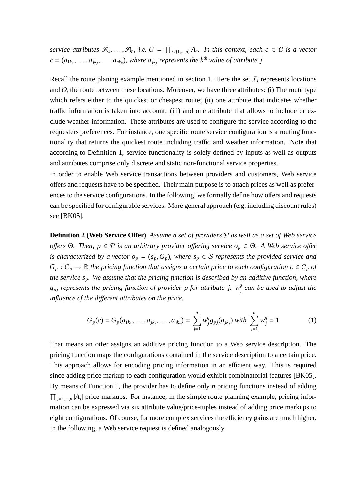*service attributes*  $\mathcal{A}_1, \ldots, \mathcal{A}_n$ , *i.e.*  $C = \prod_{r \in \{1,\ldots,n\}} A_r$ . In this context, each  $c \in C$  is a vector  $c = (a_{1k_1}, \ldots, a_{jk_j}, \ldots, a_{nk_n})$ , where  $a_{jk_j}$  represents the  $k^{th}$  value of attribute j.

Recall the route planing example mentioned in section 1. Here the set  $I_i$  represents locations and  $O_i$  the route between these locations. Moreover, we have three attributes: (i) The route type which refers either to the quickest or cheapest route; (ii) one attribute that indicates whether traffic information is taken into account; (iii) and one attribute that allows to include or exclude weather information. These attributes are used to configure the service according to the requesters preferences. For instance, one specific route service configuration is a routing functionality that returns the quickest route including traffic and weather information. Note that according to Definition 1, service functionality is solely defined by inputs as well as outputs and attributes comprise only discrete and static non-functional service properties.

In order to enable Web service transactions between providers and customers, Web service offers and requests have to be specified. Their main purpose is to attach prices as well as preferences to the service configurations. In the following, we formally define how offers and requests can be specified for configurable services. More general approach (e.g. including discount rules) see [BK05].

**Definition 2 (Web Service O**ff**er)** *Assume a set of providers* P *as well as a set of Web service o*ff*ers* Θ*. Then, p* ∈ P *is an arbitrary provider o*ff*ering service op* ∈ Θ*. A Web service o*ff*er is characterized by a vector*  $o_p = (s_p, G_p)$ *, where*  $s_p \in S$  *represents the provided service and*  $G_p: C_p \to \mathbb{R}$  *the pricing function that assigns a certain price to each configuration c*  $\in C_p$  *of the service sp. We assume that the pricing function is described by an additive function, where*  $g_{pj}$  *represents the pricing function of provider p for attribute j.*  $w_j^g$  *can be used to adjust the influence of the di*ff*erent attributes on the price.*

$$
G_p(c) = G_p(a_{1k_1}, \dots, a_{jk_j}, \dots, a_{nk_n}) = \sum_{j=1}^n w_j^g g_{pj}(a_{jk_j}) \text{ with } \sum_{j=1}^n w_j^g = 1 \tag{1}
$$

That means an offer assigns an additive pricing function to a Web service description. The pricing function maps the configurations contained in the service description to a certain price. This approach allows for encoding pricing information in an efficient way. This is required since adding price markup to each configuration would exhibit combinatorial features [BK05]. By means of Function 1, the provider has to define only *n* pricing functions instead of adding  $\prod_{j=1,\dots,n} |A_j|$  price markups. For instance, in the simple route planning example, pricing information can be expressed via six attribute value/price-tuples instead of adding price markups to eight configurations. Of course, for more complex services the efficiency gains are much higher. In the following, a Web service request is defined analogously.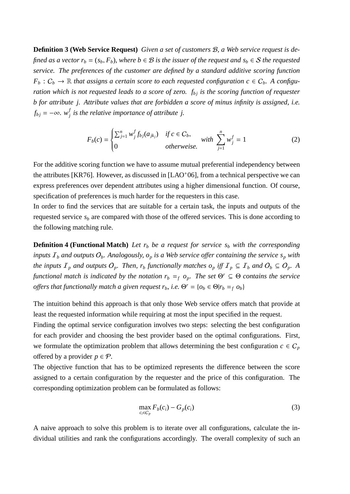**Definition 3 (Web Service Request)** *Given a set of customers* B*, a Web service request is defined as a vector*  $r_b = (s_b, F_b)$ *, where*  $b \in B$  *is the issuer of the request and*  $s_b \in S$  *the requested service. The preferences of the customer are defined by a standard additive scoring function*  $F_b: C_b \to \mathbb{R}$  *that assigns a certain score to each requested configuration*  $c \in C_b$ *. A configuration which is not requested leads to a score of zero.*  $f_{bj}$  *is the scoring function of requester b for attribute j. Attribute values that are forbidden a score of minus infinity is assigned, i.e.*  $f_{bj} = -\infty$ *.*  $w_j^f$  is the relative importance of attribute j.

$$
F_b(c) = \begin{cases} \sum_{j=1}^n w_j^f f_{bj}(a_{jk_j}) & \text{if } c \in C_b, \\ 0 & \text{otherwise.} \end{cases} \quad \text{with } \sum_{j=1}^n w_j^f = 1 \tag{2}
$$

For the additive scoring function we have to assume mutual preferential independency between the attributes [KR76]. However, as discussed in [LAO<sup>+</sup>06], from a technical perspective we can express preferences over dependent attributes using a higher dimensional function. Of course, specification of preferences is much harder for the requesters in this case.

In order to find the services that are suitable for a certain task, the inputs and outputs of the requested service  $s<sub>b</sub>$  are compared with those of the offered services. This is done according to the following matching rule.

**Definition 4 (Functional Match)** Let  $r_b$  be a request for service  $s_b$  with the corresponding *inputs*  $I<sub>b</sub>$  *and outputs*  $O<sub>b</sub>$ *. Analogously,*  $o<sub>p</sub>$  *<i>is a Web service offer containing the service*  $s<sub>p</sub>$  *with the inputs*  $I_p$  *and outputs*  $O_p$ *. Then,*  $r_b$  *functionally matches*  $o_p$  *iff*  $I_p \subseteq I_b$  *and*  $O_b \subseteq O_p$ *. A functional match is indicated by the notation*  $r_b = f_o$ *, The set*  $\Theta^r \subseteq \Theta$  *contains the service offers that functionally match a given request*  $r_b$ *, i.e.*  $\Theta^r = \{o_b \in \Theta | r_b =_f o_b\}$ 

The intuition behind this approach is that only those Web service offers match that provide at least the requested information while requiring at most the input specified in the request.

Finding the optimal service configuration involves two steps: selecting the best configuration for each provider and choosing the best provider based on the optimal configurations. First, we formulate the optimization problem that allows determining the best configuration  $c \in C_p$ offered by a provider  $p \in \mathcal{P}$ .

The objective function that has to be optimized represents the difference between the score assigned to a certain configuration by the requester and the price of this configuration. The corresponding optimization problem can be formulated as follows:

$$
\max_{c_i \in C_p} F_b(c_i) - G_p(c_i) \tag{3}
$$

A naive approach to solve this problem is to iterate over all configurations, calculate the individual utilities and rank the configurations accordingly. The overall complexity of such an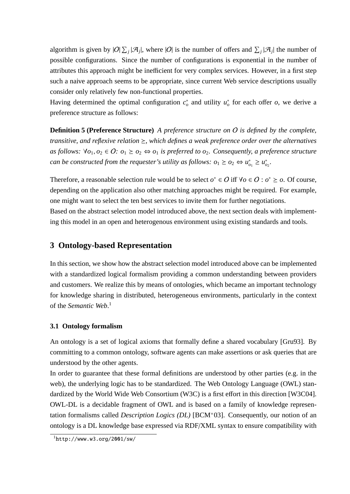algorithm is given by  $|O|\sum_i |\mathcal{A}_i|$ , where  $|O|$  is the number of offers and  $\sum_i |\mathcal{A}_i|$  the number of possible configurations. Since the number of configurations is exponential in the number of attributes this approach might be inefficient for very complex services. However, in a first step such a naive approach seems to be appropriate, since current Web service descriptions usually consider only relatively few non-functional properties.

Having determined the optimal configuration  $c_o^*$  and utility  $u_o^*$  for each offer  $o$ , we derive a preference structure as follows:

**Definition 5 (Preference Structure)** *A preference structure on* O *is defined by the complete, transitive, and reflexive relation*  $\geq$ , which defines a weak preference order over the alternatives *as follows:*  $∀o_1, o_2 ∈ O: o_1 ≥ o_2 ⇔ o_1$  *is preferred to o<sub>2</sub>. Consequently, a preference structure can be constructed from the requester's utility as follows:*  $o_1 \geq o_2 \Leftrightarrow u_{o_1}^* \geq u_{o_2}^*$ *.* 

Therefore, a reasonable selection rule would be to select  $o^* \in O$  iff  $\forall o \in O : o^* \ge o$ . Of course, depending on the application also other matching approaches might be required. For example, one might want to select the ten best services to invite them for further negotiations. Based on the abstract selection model introduced above, the next section deals with implementing this model in an open and heterogenous environment using existing standards and tools.

# **3 Ontology-based Representation**

In this section, we show how the abstract selection model introduced above can be implemented with a standardized logical formalism providing a common understanding between providers and customers. We realize this by means of ontologies, which became an important technology for knowledge sharing in distributed, heterogeneous environments, particularly in the context of the *Semantic Web*. 1

#### **3.1 Ontology formalism**

An ontology is a set of logical axioms that formally define a shared vocabulary [Gru93]. By committing to a common ontology, software agents can make assertions or ask queries that are understood by the other agents.

In order to guarantee that these formal definitions are understood by other parties (e.g. in the web), the underlying logic has to be standardized. The Web Ontology Language (OWL) standardized by the World Wide Web Consortium (W3C) is a first effort in this direction [W3C04]. OWL-DL is a decidable fragment of OWL and is based on a family of knowledge representation formalisms called *Description Logics (DL)* [BCM<sup>+</sup>03]. Consequently, our notion of an ontology is a DL knowledge base expressed via RDF/XML syntax to ensure compatibility with

 $\frac{1}{1}$ http://www.w3.org/2001/sw/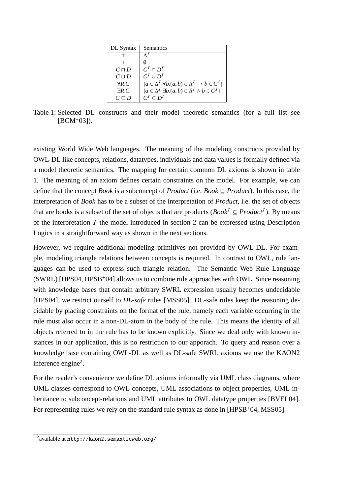| DL Syntax       | Semantics                                                           |
|-----------------|---------------------------------------------------------------------|
|                 |                                                                     |
|                 |                                                                     |
| $C \sqcap D$    | $C^I \cap D^I$                                                      |
| $C \sqcup D$    | $C^I \cup D^I$                                                      |
| $\forall R.C$   | ${a \in \Delta^I   \forall b.(a, b) \in R^I \rightarrow b \in C^I}$ |
| $\exists R.C$   | ${a \in \Delta^I \mid \exists b.(a, b) \in R^I \land b \in C^I}$    |
| $C \sqsubset D$ | $C^I \subset D^I$                                                   |

Table 1: Selected DL constructs and their model theoretic semantics (for a full list see  $[BCM+03]$ .

existing World Wide Web languages. The meaning of the modeling constructs provided by OWL-DL like concepts, relations, datatypes, individuals and data values is formally defined via a model theoretic semantics. The mapping for certain common DL axioms is shown in table 1. The meaning of an axiom defines certain constraints on the model. For example, we can define that the concept *Book* is a subconcept of *Product* (i.e. *Book*  $\subseteq$  *Product*). In this case, the interpretation of *Book* has to be a subset of the interpretation of *Product*, i.e. the set of objects that are books is a subset of the set of objects that are products (*Book<sup>I</sup>*  $\subseteq$  *Product<sup>I</sup>*). By means of the interpretation  $I$  the model introduced in section 2 can be expressed using Description Logics in a straightforward way as shown in the next sections.

However, we require additional modeling primitives not provided by OWL-DL. For example, modeling triangle relations between concepts is required. In contrast to OWL, rule languages can be used to express such triangle relation. The Semantic Web Rule Language (SWRL) [HPS04, HPSB<sup>+</sup>04] allows us to combine rule approaches with OWL. Since reasoning with knowledge bases that contain arbitrary SWRL expression usually becomes undecidable [HPS04], we restrict ourself to *DL-safe* rules [MSS05]. DL-safe rules keep the reasoning decidable by placing constraints on the format of the rule, namely each variable occurring in the rule must also occur in a non-DL-atom in the body of the rule. This means the identity of all objects referred to in the rule has to be known explicitly. Since we deal only with known instances in our application, this is no restriction to our apporach. To query and reason over a knowledge base containing OWL-DL as well as DL-safe SWRL axioms we use the KAON2 inference engine2.

For the reader's convenience we define DL axioms informally via UML class diagrams, where UML classes correspond to OWL concepts, UML associations to object properties, UML inheritance to subconcept-relations and UML attributes to OWL datatype properties [BVEL04]. For representing rules we rely on the standard rule syntax as done in [HPSB+04, MSS05].

<sup>2</sup>available at http://kaon2.semanticweb.org/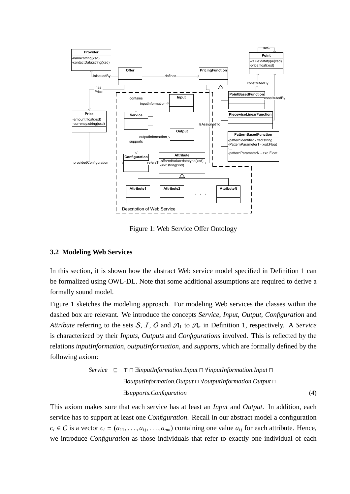

Figure 1: Web Service Offer Ontology

### **3.2 Modeling Web Services**

In this section, it is shown how the abstract Web service model specified in Definition 1 can be formalized using OWL-DL. Note that some additional assumptions are required to derive a formally sound model.

Figure 1 sketches the modeling approach. For modeling Web services the classes within the dashed box are relevant. We introduce the concepts *Service*, *Input*, *Output*, *Configuration* and *Attribute* referring to the sets S, I, O and  $\mathcal{A}_1$  to  $\mathcal{A}_n$  in Definition 1, respectively. A Service is characterized by their *Inputs*, *Outputs* and *Configurations* involved. This is reflected by the relations *inputInformation*, *outputInformation*, and *supports*, which are formally defined by the following axiom:

*Service* 
$$
\sqsubseteq
$$
  $\top$   $\sqcap$  *linputInformation*.*Input*  $\sqcap$  *YinputInformation*.*Output*  $\sqcap$   
*Journal of  $\top$  Output*  $\sqcap$  *Output Method Output*  $\sqcap$   
*Supports*. *Configuration (4)*

This axiom makes sure that each service has at least an *Input* and *Output*. In addition, each service has to support at least one *Configuration*. Recall in our abstract model a configuration  $c_i \in C$  is a vector  $c_i = (a_{11}, \ldots, a_{ii}, \ldots, a_{nm})$  containing one value  $a_{ii}$  for each attribute. Hence, we introduce *Configuration* as those individuals that refer to exactly one individual of each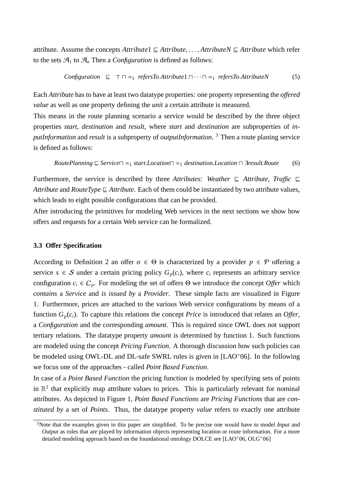attribute. Assume the concepts  $Attribute1 \subseteqAttribute$ ,...,  $AttributeN \subseteqAttribute$  which refer to the sets  $\mathcal{A}_1$  to  $\mathcal{A}_n$  Then a *Configuration* is defined as follows:

$$
Configuration \subseteq \top \sqcap =_1 \refersTo.Attribute1 \sqcap \cdots \sqcap =_1 \refersTo.AttributeN \tag{5}
$$

Each *Attribute* has to have at least two datatype properties: one property representing the *o*ff*ered value* as well as one property defining the *unit* a certain attribute is measured.

This means in the route planning scenario a service would be described by the three object properties *start*, *destination* and *result*, where *start* and *destination* are subproperties of *inputInformation* and *result* is a subproperty of *outputInformation*. <sup>3</sup> Then a route planing service is defined as follows:

*RowtePlanning* 
$$
\subseteq
$$
 *Service*  $\sqcap$  =<sub>1</sub> *start.Location*  $\sqcap$  =<sub>1</sub> *destination.Location*  $\sqcap$  *break. Route* (6)

Furthermore, the service is described by three *Attributes*: *Weather*  $\subseteq$  *Attribute*, *Traffic*  $\subseteq$ *Attribute* and *RouteType*  $\subseteq$  *Attribute*. Each of them could be instantiated by two attribute values, which leads to eight possible configurations that can be provided.

After introducing the primitives for modeling Web services in the next sections we show how offers and requests for a certain Web service can be formalized.

#### **3.3 O**ff**er Specification**

According to Definition 2 an offer  $o \in \Theta$  is characterized by a provider  $p \in \mathcal{P}$  offering a service  $s \in S$  under a certain pricing policy  $G_p(c_i)$ , where  $c_i$  represents an arbitrary service configuration  $c_i \in C_p$ . For modeling the set of offers  $\Theta$  we introduce the concept *Offer* which *contains* a *Service* and *is issued by* a *Provider*. These simple facts are visualized in Figure 1. Furthermore, prices are attached to the various Web service configurations by means of a function  $G_p(c_i)$ . To capture this relations the concept *Price* is introduced that relates an *Offer*, a *Configuration* and the corresponding *amount*. This is required since OWL does not support tertiary relations. The datatype property *amount* is determined by function 1. Such functions are modeled using the concept *Pricing Function*. A thorough discussion how such policies can be modeled using OWL-DL and DL-safe SWRL rules is given in [LAO<sup>+</sup>06]. In the following we focus one of the approaches - called *Point Based Function*.

In case of a *Point Based Function* the pricing function is modeled by specifying sets of points in  $\mathbb{R}^2$  that explicitly map attribute values to prices. This is particularly relevant for nominal attributes. As depicted in Figure 1, *Point Based Functions* are *Pricing Functions* that are *constituted by* a set of *Points*. Thus, the datatype property *value* refers to exactly one attribute

<sup>3</sup>Note that the examples given in this paper are simplified. To be precise one would have to model *Input* and *Output* as roles that are played by information objects representing location or route information. For a more detailed modeling approach based on the foundational ontology DOLCE see [LAO+06, OLG+06]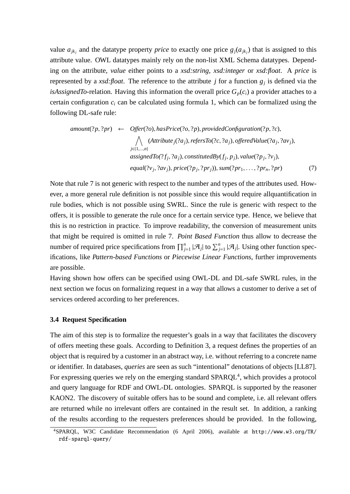value  $a_{jk}$  and the datatype property *price* to exactly one price  $g_j(a_{jk})$  that is assigned to this attribute value. OWL datatypes mainly rely on the non-list XML Schema datatypes. Depending on the attribute, *value* either points to a *xsd:string*, *xsd:integer* or *xsd:float*. A *price* is represented by a *xsd:float*. The reference to the attribute *j* for a function  $g_j$  is defined via the *isAssignedTo-relation.* Having this information the overall price  $G_p(c_i)$  a provider attaches to a certain configuration *ci* can be calculated using formula 1, which can be formalized using the following DL-safe rule:

$$
amount(?p, ?pr) \leftarrow \text{offer}(?o), hasPrice(?o, ?p), providedConfiguration(?p, ?c),
$$
\n
$$
\bigwedge_{j \in \{1, \ldots, n\}} (Attribute_j(?a_j), refersTo(?c, ?a_j), offeredValue(?a_j, ?av_j),
$$
\n
$$
assignedTo(?f_j, ?a_j), constitute dBy(f_j, p_j), value(?p_j, ?v_j),
$$
\n
$$
equal(?v_j, ?av_j), price(?p_j, ?pr_j)), sum(?pr_1, \ldots, ?pr_n, ?pr)
$$
\n(7)

Note that rule 7 is not generic with respect to the number and types of the attributes used. However, a more general rule definition is not possible since this would require allquantification in rule bodies, which is not possible using SWRL. Since the rule is generic with respect to the offers, it is possible to generate the rule once for a certain service type. Hence, we believe that this is no restriction in practice. To improve readability, the conversion of measurement units that might be required is omitted in rule 7. *Point Based Function* thus allow to decrease the number of required price specifications from  $\prod_{j=1}^n |\mathcal{A}_j|$  to  $\sum_{j=1}^n |\mathcal{A}_j|$ . Using other function specifications, like *Pattern-based Functions* or *Piecewise Linear Functions*, further improvements are possible.

Having shown how offers can be specified using OWL-DL and DL-safe SWRL rules, in the next section we focus on formalizing request in a way that allows a customer to derive a set of services ordered according to her preferences.

#### **3.4 Request Specification**

The aim of this step is to formalize the requester's goals in a way that facilitates the discovery of offers meeting these goals. According to Definition 3, a request defines the properties of an object that is required by a customer in an abstract way, i.e. without referring to a concrete name or identifier. In databases, *queries* are seen as such "intentional" denotations of objects [LL87]. For expressing queries we rely on the emerging standard  $SPARQL<sup>4</sup>$ , which provides a protocol and query language for RDF and OWL-DL ontologies. SPARQL is supported by the reasoner KAON2. The discovery of suitable offers has to be sound and complete, i.e. all relevant offers are returned while no irrelevant offers are contained in the result set. In addition, a ranking of the results according to the requesters preferences should be provided. In the following,

<sup>4</sup>SPARQL, W3C Candidate Recommendation (6 April 2006), available at http://www.w3.org/TR/ rdf-sparql-query/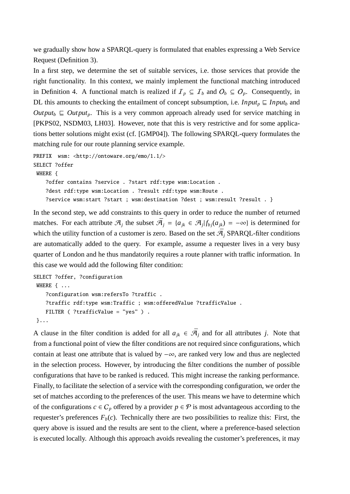we gradually show how a SPARQL-query is formulated that enables expressing a Web Service Request (Definition 3).

In a first step, we determine the set of suitable services, i.e. those services that provide the right functionality. In this context, we mainly implement the functional matching introduced in Definition 4. A functional match is realized if  $\mathcal{I}_p \subseteq \mathcal{I}_b$  and  $\mathcal{O}_b \subseteq \mathcal{O}_p$ . Consequently, in DL this amounts to checking the entailment of concept subsumption, i.e. *Input<sub>p</sub>*  $\subseteq$  *Input<sub>b</sub>* and  $Output_{b} \subseteq Output_{p}$ . This is a very common approach already used for service matching in [PKPS02, NSDM03, LH03]. However, note that this is very restrictive and for some applications better solutions might exist (cf. [GMP04]). The following SPARQL-query formulates the matching rule for our route planning service example.

```
PREFIX wsm: <http://ontoware.org/emo/1.1/>
SELECT ?offer
 WHERE {
    ?offer contains ?service . ?start rdf:type wsm:Location .
    ?dest rdf:type wsm:Location . ?result rdf:type wsm:Route .
    ?service wsm:start ?start ; wsm:destination ?dest ; wsm:result ?result . }
```
In the second step, we add constraints to this query in order to reduce the number of returned matches. For each attribute  $\mathcal{A}_i$  the subset  $\bar{\mathcal{A}}_i = \{a_{ik} \in \mathcal{A}_i | f_{bi}(a_{ik}) = -\infty\}$  is determined for which the utility function of a customer is zero. Based on the set  $\bar{\mathcal{A}}_i$  SPARQL-filter conditions are automatically added to the query. For example, assume a requester lives in a very busy quarter of London and he thus mandatorily requires a route planner with traffic information. In this case we would add the following filter condition:

```
SELECT ?offer, ?configuration
 WHERE { ...
    ?configuration wsm:refersTo ?traffic .
    ?traffic rdf:type wsm:Traffic ; wsm:offeredValue ?trafficValue .
   FILTER ( ?trafficValue = "yes" ) .
}...
```
A clause in the filter condition is added for all  $a_{ik} \in \bar{\mathcal{A}}_i$  and for all attributes *j*. Note that from a functional point of view the filter conditions are not required since configurations, which contain at least one attribute that is valued by −∞, are ranked very low and thus are neglected in the selection process. However, by introducing the filter conditions the number of possible configurations that have to be ranked is reduced. This might increase the ranking performance. Finally, to facilitate the selection of a service with the corresponding configuration, we order the set of matches according to the preferences of the user. This means we have to determine which of the configurations  $c \in C_p$  offered by a provider  $p \in \mathcal{P}$  is most advantageous according to the requester's preferences  $F_b(c)$ . Technically there are two possibilities to realize this: First, the query above is issued and the results are sent to the client, where a preference-based selection is executed locally. Although this approach avoids revealing the customer's preferences, it may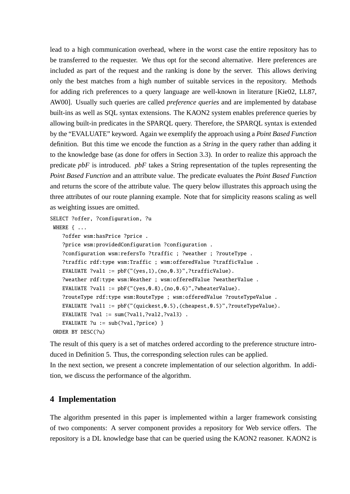lead to a high communication overhead, where in the worst case the entire repository has to be transferred to the requester. We thus opt for the second alternative. Here preferences are included as part of the request and the ranking is done by the server. This allows deriving only the best matches from a high number of suitable services in the repository. Methods for adding rich preferences to a query language are well-known in literature [Kie02, LL87, AW00]. Usually such queries are called *preference queries* and are implemented by database built-ins as well as SQL syntax extensions. The KAON2 system enables preference queries by allowing built-in predicates in the SPARQL query. Therefore, the SPARQL syntax is extended by the "EVALUATE" keyword. Again we exemplify the approach using a *Point Based Function* definition. But this time we encode the function as a *String* in the query rather than adding it to the knowledge base (as done for offers in Section 3.3). In order to realize this approach the predicate *pbF* is introduced. *pbF* takes a String representation of the tuples representing the *Point Based Function* and an attribute value. The predicate evaluates the *Point Based Function* and returns the score of the attribute value. The query below illustrates this approach using the three attributes of our route planning example. Note that for simplicity reasons scaling as well as weighting issues are omitted.

```
SELECT ?offer, ?configuration, ?u
```

```
WHERE { ...
```

```
?offer wsm:hasPrice ?price .
   ?price wsm:providedConfiguration ?configuration .
   ?configuration wsm:refersTo ?traffic ; ?weather ; ?routeType .
   ?traffic rdf:type wsm:Traffic ; wsm:offeredValue ?trafficValue .
   EVALUATE ?val1 := pbf("(yes, 1), (no, 0.3)", ?trafficValue).?weather rdf:type wsm:Weather ; wsm:offeredValue ?weatherValue .
   EVALUATE ?val1 := pbf("(yes, 0.8), (no, 0.6)",?wheaterValue).
   ?routeType rdf:type wsm:RouteType ; wsm:offeredValue ?routeTypeValue .
   EVALUATE ?val1 := pbF("(quickest,0.5),(cheapest,0.5)",?routeTypeValue).
   EVALUATE ?val := sum(?val1,?val2,?val3) .
   EVALUATE ?u := sub(?val,?price) }
ORDER BY DESC(?u)
```
The result of this query is a set of matches ordered according to the preference structure introduced in Definition 5. Thus, the corresponding selection rules can be applied. In the next section, we present a concrete implementation of our selection algorithm. In addition, we discuss the performance of the algorithm.

# **4 Implementation**

The algorithm presented in this paper is implemented within a larger framework consisting of two components: A server component provides a repository for Web service offers. The repository is a DL knowledge base that can be queried using the KAON2 reasoner. KAON2 is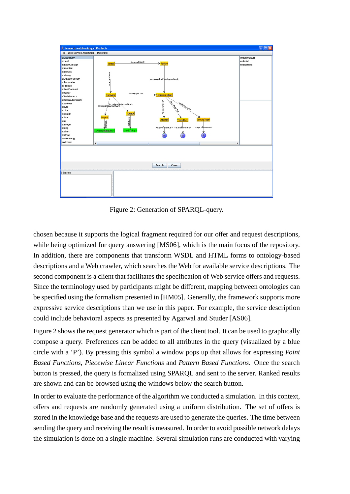

Figure 2: Generation of SPARQL-query.

chosen because it supports the logical fragment required for our offer and request descriptions, while being optimized for query answering [MS06], which is the main focus of the repository. In addition, there are components that transform WSDL and HTML forms to ontology-based descriptions and a Web crawler, which searches the Web for available service descriptions. The second component is a client that facilitates the specification of Web service offers and requests. Since the terminology used by participants might be different, mapping between ontologies can be specified using the formalism presented in [HM05]. Generally, the framework supports more expressive service descriptions than we use in this paper. For example, the service description could include behavioral aspects as presented by Agarwal and Studer [AS06].

Figure 2 shows the request generator which is part of the client tool. It can be used to graphically compose a query. Preferences can be added to all attributes in the query (visualized by a blue circle with a 'P'). By pressing this symbol a window pops up that allows for expressing *Point Based Functions*, *Piecewise Linear Functions* and *Pattern Based Functions*. Once the search button is pressed, the query is formalized using SPARQL and sent to the server. Ranked results are shown and can be browsed using the windows below the search button.

In order to evaluate the performance of the algorithm we conducted a simulation. In this context, offers and requests are randomly generated using a uniform distribution. The set of offers is stored in the knowledge base and the requests are used to generate the queries. The time between sending the query and receiving the result is measured. In order to avoid possible network delays the simulation is done on a single machine. Several simulation runs are conducted with varying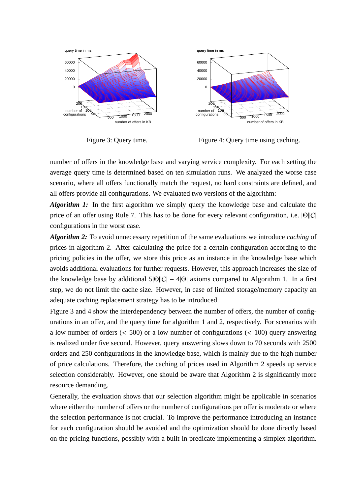

Figure 3: Query time.



number of offers in the knowledge base and varying service complexity. For each setting the average query time is determined based on ten simulation runs. We analyzed the worse case scenario, where all offers functionally match the request, no hard constraints are defined, and all offers provide all configurations. We evaluated two versions of the algorithm:

*Algorithm 1:* In the first algorithm we simply query the knowledge base and calculate the price of an offer using Rule 7. This has to be done for every relevant configuration, i.e. |Θ||C| configurations in the worst case.

*Algorithm 2:* To avoid unnecessary repetition of the same evaluations we introduce *caching* of prices in algorithm 2. After calculating the price for a certain configuration according to the pricing policies in the offer, we store this price as an instance in the knowledge base which avoids additional evaluations for further requests. However, this approach increases the size of the knowledge base by additional  $5|\Theta||C| - 4|\Theta|$  axioms compared to Algorithm 1. In a first step, we do not limit the cache size. However, in case of limited storage/memory capacity an adequate caching replacement strategy has to be introduced.

Figure 3 and 4 show the interdependency between the number of offers, the number of configurations in an offer, and the query time for algorithm 1 and 2, respectively. For scenarios with a low number of orders  $\leq 500$  or a low number of configurations  $\leq 100$  query answering is realized under five second. However, query answering slows down to 70 seconds with 2500 orders and 250 configurations in the knowledge base, which is mainly due to the high number of price calculations. Therefore, the caching of prices used in Algorithm 2 speeds up service selection considerably. However, one should be aware that Algorithm 2 is significantly more resource demanding.

Generally, the evaluation shows that our selection algorithm might be applicable in scenarios where either the number of offers or the number of configurations per offer is moderate or where the selection performance is not crucial. To improve the performance introducing an instance for each configuration should be avoided and the optimization should be done directly based on the pricing functions, possibly with a built-in predicate implementing a simplex algorithm.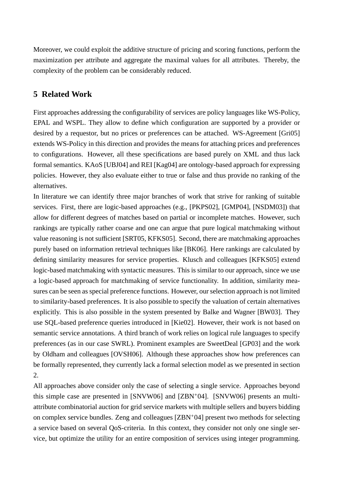Moreover, we could exploit the additive structure of pricing and scoring functions, perform the maximization per attribute and aggregate the maximal values for all attributes. Thereby, the complexity of the problem can be considerably reduced.

# **5 Related Work**

First approaches addressing the configurability of services are policy languages like WS-Policy, EPAL and WSPL. They allow to define which configuration are supported by a provider or desired by a requestor, but no prices or preferences can be attached. WS-Agreement [Gri05] extends WS-Policy in this direction and provides the means for attaching prices and preferences to configurations. However, all these specifications are based purely on XML and thus lack formal semantics. KAoS [UBJ04] and REI [Kag04] are ontology-based approach for expressing policies. However, they also evaluate either to true or false and thus provide no ranking of the alternatives.

In literature we can identify three major branches of work that strive for ranking of suitable services. First, there are logic-based approaches (e.g., [PKPS02], [GMP04], [NSDM03]) that allow for different degrees of matches based on partial or incomplete matches. However, such rankings are typically rather coarse and one can argue that pure logical matchmaking without value reasoning is not sufficient [SRT05, KFKS05]. Second, there are matchmaking approaches purely based on information retrieval techniques like [BK06]. Here rankings are calculated by defining similarity measures for service properties. Klusch and colleagues [KFKS05] extend logic-based matchmaking with syntactic measures. This is similar to our approach, since we use a logic-based approach for matchmaking of service functionality. In addition, similarity measures can be seen as special preference functions. However, our selection approach is not limited to similarity-based preferences. It is also possible to specify the valuation of certain alternatives explicitly. This is also possible in the system presented by Balke and Wagner [BW03]. They use SQL-based preference queries introduced in [Kie02]. However, their work is not based on semantic service annotations. A third branch of work relies on logical rule languages to specify preferences (as in our case SWRL). Prominent examples are SweetDeal [GP03] and the work by Oldham and colleagues [OVSH06]. Although these approaches show how preferences can be formally represented, they currently lack a formal selection model as we presented in section 2.

All approaches above consider only the case of selecting a single service. Approaches beyond this simple case are presented in [SNVW06] and [ZBN<sup>+</sup>04]. [SNVW06] presents an multiattribute combinatorial auction for grid service markets with multiple sellers and buyers bidding on complex service bundles. Zeng and colleagues [ZBN<sup>+</sup>04] present two methods for selecting a service based on several QoS-criteria. In this context, they consider not only one single service, but optimize the utility for an entire composition of services using integer programming.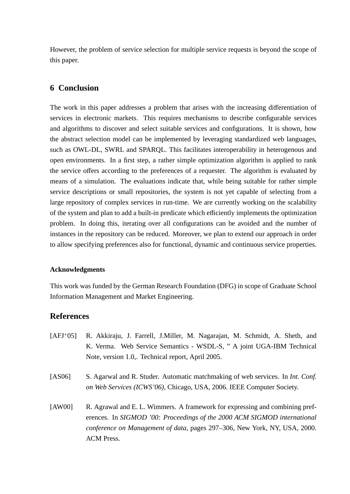However, the problem of service selection for multiple service requests is beyond the scope of this paper.

# **6 Conclusion**

The work in this paper addresses a problem that arises with the increasing differentiation of services in electronic markets. This requires mechanisms to describe configurable services and algorithms to discover and select suitable services and configurations. It is shown, how the abstract selection model can be implemented by leveraging standardized web languages, such as OWL-DL, SWRL and SPARQL. This facilitates interoperability in heterogenous and open environments. In a first step, a rather simple optimization algorithm is applied to rank the service offers according to the preferences of a requester. The algorithm is evaluated by means of a simulation. The evaluations indicate that, while being suitable for rather simple service descriptions or small repositories, the system is not yet capable of selecting from a large repository of complex services in run-time. We are currently working on the scalability of the system and plan to add a built-in predicate which efficiently implements the optimization problem. In doing this, iterating over all configurations can be avoided and the number of instances in the repository can be reduced. Moreover, we plan to extend our approach in order to allow specifying preferences also for functional, dynamic and continuous service properties.

### **Acknowledgments**

This work was funded by the German Research Foundation (DFG) in scope of Graduate School Information Management and Market Engineering.

### **References**

- [AFJ<sup>+</sup>05] R. Akkiraju, J. Farrell, J.Miller, M. Nagarajan, M. Schmidt, A. Sheth, and K. Verma. Web Service Semantics - WSDL-S, " A joint UGA-IBM Technical Note, version 1.0,. Technical report, April 2005.
- [AS06] S. Agarwal and R. Studer. Automatic matchmaking of web services. In *Int. Conf. on Web Services (ICWS'06)*, Chicago, USA, 2006. IEEE Computer Society.
- [AW00] R. Agrawal and E. L. Wimmers. A framework for expressing and combining preferences. In *SIGMOD '00: Proceedings of the 2000 ACM SIGMOD international conference on Management of data*, pages 297–306, New York, NY, USA, 2000. ACM Press.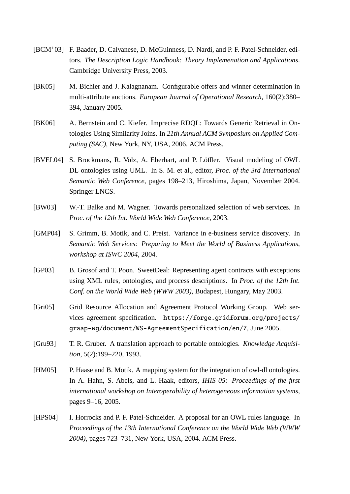- [BCM<sup>+</sup>03] F. Baader, D. Calvanese, D. McGuinness, D. Nardi, and P. F. Patel-Schneider, editors. *The Description Logic Handbook: Theory Implemenation and Applications*. Cambridge University Press, 2003.
- [BK05] M. Bichler and J. Kalagnanam. Configurable offers and winner determination in multi-attribute auctions. *European Journal of Operational Research*, 160(2):380– 394, January 2005.
- [BK06] A. Bernstein and C. Kiefer. Imprecise RDQL: Towards Generic Retrieval in Ontologies Using Similarity Joins. In *21th Annual ACM Symposium on Applied Computing (SAC)*, New York, NY, USA, 2006. ACM Press.
- [BVEL04] S. Brockmans, R. Volz, A. Eberhart, and P. Löffler. Visual modeling of OWL DL ontologies using UML. In S. M. et al., editor, *Proc. of the 3rd International Semantic Web Conference*, pages 198–213, Hiroshima, Japan, November 2004. Springer LNCS.
- [BW03] W.-T. Balke and M. Wagner. Towards personalized selection of web services. In *Proc. of the 12th Int. World Wide Web Conference*, 2003.
- [GMP04] S. Grimm, B. Motik, and C. Preist. Variance in e-business service discovery. In *Semantic Web Services: Preparing to Meet the World of Business Applications, workshop at ISWC 2004*, 2004.
- [GP03] B. Grosof and T. Poon. SweetDeal: Representing agent contracts with exceptions using XML rules, ontologies, and process descriptions. In *Proc. of the 12th Int. Conf. on the World Wide Web (WWW 2003)*, Budapest, Hungary, May 2003.
- [Gri05] Grid Resource Allocation and Agreement Protocol Working Group. Web services agreement specification. https://forge.gridforum.org/projects/ graap-wg/document/WS-AgreementSpecification/en/7, June 2005.
- [Gru93] T. R. Gruber. A translation approach to portable ontologies. *Knowledge Acquisition*, 5(2):199–220, 1993.
- [HM05] P. Haase and B. Motik. A mapping system for the integration of owl-dl ontologies. In A. Hahn, S. Abels, and L. Haak, editors, *IHIS 05: Proceedings of the first international workshop on Interoperability of heterogeneous information systems*, pages 9–16, 2005.
- [HPS04] I. Horrocks and P. F. Patel-Schneider. A proposal for an OWL rules language. In *Proceedings of the 13th International Conference on the World Wide Web (WWW 2004)*, pages 723–731, New York, USA, 2004. ACM Press.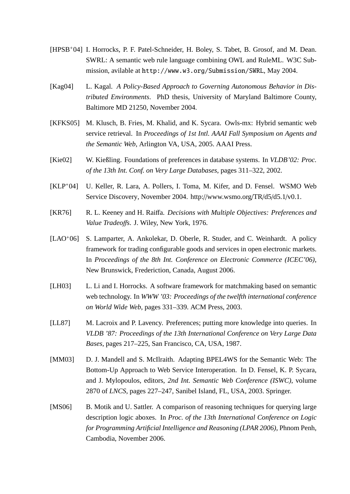- [HPSB<sup>+</sup>04] I. Horrocks, P. F. Patel-Schneider, H. Boley, S. Tabet, B. Grosof, and M. Dean. SWRL: A semantic web rule language combining OWL and RuleML. W3C Submission, avilable at http://www.w3.org/Submission/SWRL, May 2004.
- [Kag04] L. Kagal. *A Policy-Based Approach to Governing Autonomous Behavior in Distributed Environments*. PhD thesis, University of Maryland Baltimore County, Baltimore MD 21250, November 2004.
- [KFKS05] M. Klusch, B. Fries, M. Khalid, and K. Sycara. Owls-mx: Hybrid semantic web service retrieval. In *Proceedings of 1st Intl. AAAI Fall Symposium on Agents and the Semantic Web*, Arlington VA, USA, 2005. AAAI Press.
- [Kie02] W. Kießling. Foundations of preferences in database systems. In *VLDB'02: Proc. of the 13th Int. Conf. on Very Large Databases*, pages 311–322, 2002.
- [KLP<sup>+</sup>04] U. Keller, R. Lara, A. Pollers, I. Toma, M. Kifer, and D. Fensel. WSMO Web Service Discovery, November 2004. http://www.wsmo.org/TR/d5/d5.1/v0.1.
- [KR76] R. L. Keeney and H. Raiffa. *Decisions with Multiple Objectives: Preferences and Value Tradeo*ff*s*. J. Wiley, New York, 1976.
- [LAO<sup>+</sup>06] S. Lamparter, A. Ankolekar, D. Oberle, R. Studer, and C. Weinhardt. A policy framework for trading configurable goods and services in open electronic markets. In *Proceedings of the 8th Int. Conference on Electronic Commerce (ICEC'06)*, New Brunswick, Frederiction, Canada, August 2006.
- [LH03] L. Li and I. Horrocks. A software framework for matchmaking based on semantic web technology. In *WWW '03: Proceedings of the twelfth international conference on World Wide Web*, pages 331–339. ACM Press, 2003.
- [LL87] M. Lacroix and P. Lavency. Preferences; putting more knowledge into queries. In *VLDB '87: Proceedings of the 13th International Conference on Very Large Data Bases*, pages 217–225, San Francisco, CA, USA, 1987.
- [MM03] D. J. Mandell and S. McIlraith. Adapting BPEL4WS for the Semantic Web: The Bottom-Up Approach to Web Service Interoperation. In D. Fensel, K. P. Sycara, and J. Mylopoulos, editors, *2nd Int. Semantic Web Conference (ISWC)*, volume 2870 of *LNCS*, pages 227–247, Sanibel Island, FL, USA, 2003. Springer.
- [MS06] B. Motik and U. Sattler. A comparison of reasoning techniques for querying large description logic aboxes. In *Proc. of the 13th International Conference on Logic for Programming Artificial Intelligence and Reasoning (LPAR 2006)*, Phnom Penh, Cambodia, November 2006.